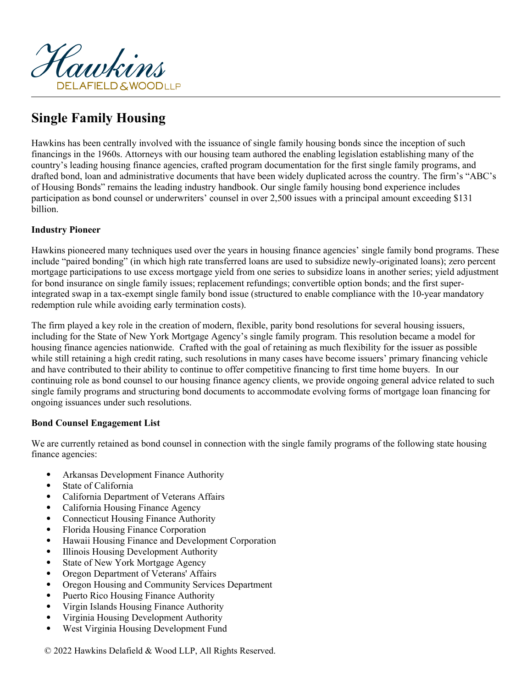

# **Single Family Housing**

Hawkins has been centrally involved with the issuance of single family housing bonds since the inception of such financings in the 1960s. Attorneys with our housing team authored the enabling legislation establishing many of the country's leading housing finance agencies, crafted program documentation for the first single family programs, and drafted bond, loan and administrative documents that have been widely duplicated across the country. The firm's "ABC's of Housing Bonds" remains the leading industry handbook. Our single family housing bond experience includes participation as bond counsel or underwriters' counsel in over 2,500 issues with a principal amount exceeding \$131 billion.

## **Industry Pioneer**

Hawkins pioneered many techniques used over the years in housing finance agencies' single family bond programs. These include "paired bonding" (in which high rate transferred loans are used to subsidize newly-originated loans); zero percent mortgage participations to use excess mortgage yield from one series to subsidize loans in another series; yield adjustment for bond insurance on single family issues; replacement refundings; convertible option bonds; and the first superintegrated swap in a tax-exempt single family bond issue (structured to enable compliance with the 10-year mandatory redemption rule while avoiding early termination costs).

The firm played a key role in the creation of modern, flexible, parity bond resolutions for several housing issuers, including for the State of New York Mortgage Agency's single family program. This resolution became a model for housing finance agencies nationwide. Crafted with the goal of retaining as much flexibility for the issuer as possible while still retaining a high credit rating, such resolutions in many cases have become issuers' primary financing vehicle and have contributed to their ability to continue to offer competitive financing to first time home buyers. In our continuing role as bond counsel to our housing finance agency clients, we provide ongoing general advice related to such single family programs and structuring bond documents to accommodate evolving forms of mortgage loan financing for ongoing issuances under such resolutions.

# **Bond Counsel Engagement List**

We are currently retained as bond counsel in connection with the single family programs of the following state housing finance agencies:

- Arkansas Development Finance Authority
- State of California
- California Department of Veterans Affairs
- California Housing Finance Agency
- Connecticut Housing Finance Authority
- Florida Housing Finance Corporation
- Hawaii Housing Finance and Development Corporation
- Illinois Housing Development Authority
- State of New York Mortgage Agency
- Oregon Department of Veterans' Affairs
- Oregon Housing and Community Services Department
- Puerto Rico Housing Finance Authority
- Virgin Islands Housing Finance Authority
- Virginia Housing Development Authority
- West Virginia Housing Development Fund

© 2022 Hawkins Delafield & Wood LLP, All Rights Reserved.